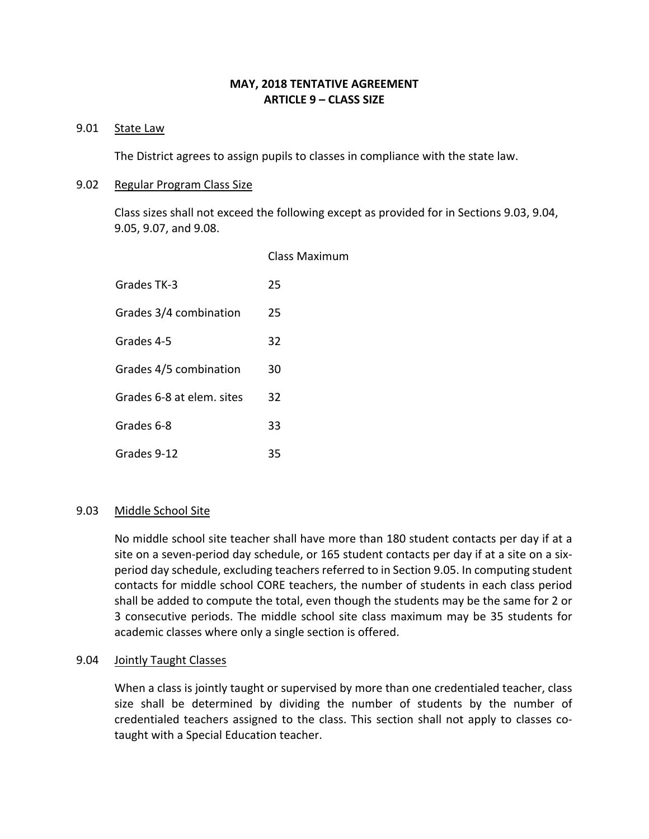# **MAY, 2018 TENTATIVE AGREEMENT ARTICLE 9 – CLASS SIZE**

## 9.01 State Law

The District agrees to assign pupils to classes in compliance with the state law.

### 9.02 Regular Program Class Size

Class sizes shall not exceed the following except as provided for in Sections 9.03, 9.04, 9.05, 9.07, and 9.08.

|                           | Class Maximum |
|---------------------------|---------------|
| Grades TK-3               | 25            |
| Grades 3/4 combination    | 25            |
| Grades 4-5                | 32            |
| Grades 4/5 combination    | 30            |
| Grades 6-8 at elem. sites | 32            |
| Grades 6-8                | 33            |
| Grades 9-12               | 35            |
|                           |               |

### 9.03 Middle School Site

No middle school site teacher shall have more than 180 student contacts per day if at a site on a seven-period day schedule, or 165 student contacts per day if at a site on a sixperiod day schedule, excluding teachers referred to in Section 9.05. In computing student contacts for middle school CORE teachers, the number of students in each class period shall be added to compute the total, even though the students may be the same for 2 or 3 consecutive periods. The middle school site class maximum may be 35 students for academic classes where only a single section is offered.

### 9.04 Jointly Taught Classes

When a class is jointly taught or supervised by more than one credentialed teacher, class size shall be determined by dividing the number of students by the number of credentialed teachers assigned to the class. This section shall not apply to classes cotaught with a Special Education teacher.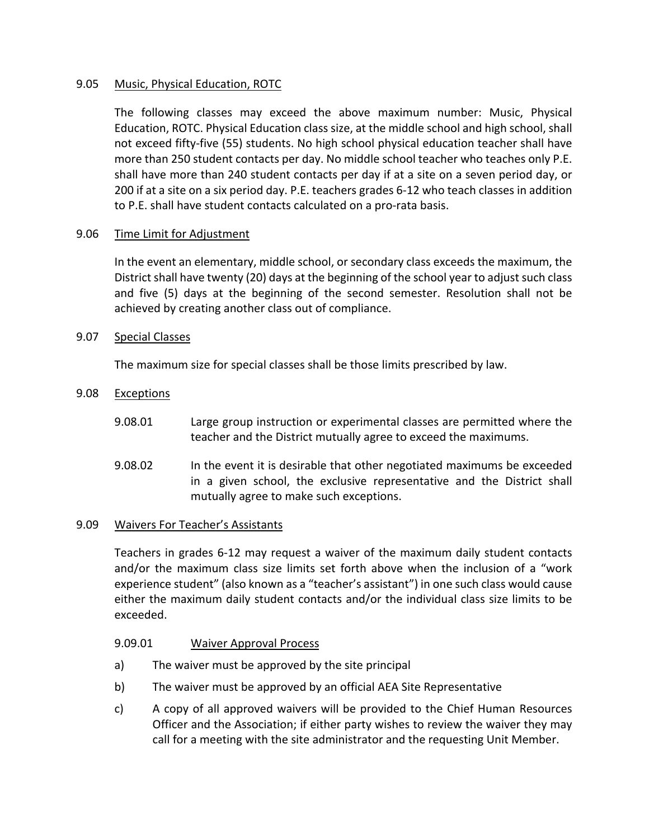## 9.05 Music, Physical Education, ROTC

The following classes may exceed the above maximum number: Music, Physical Education, ROTC. Physical Education class size, at the middle school and high school, shall not exceed fifty-five (55) students. No high school physical education teacher shall have more than 250 student contacts per day. No middle school teacher who teaches only P.E. shall have more than 240 student contacts per day if at a site on a seven period day, or 200 if at a site on a six period day. P.E. teachers grades 6-12 who teach classes in addition to P.E. shall have student contacts calculated on a pro-rata basis.

## 9.06 Time Limit for Adjustment

In the event an elementary, middle school, or secondary class exceeds the maximum, the District shall have twenty (20) days at the beginning of the school year to adjust such class and five (5) days at the beginning of the second semester. Resolution shall not be achieved by creating another class out of compliance.

### 9.07 Special Classes

The maximum size for special classes shall be those limits prescribed by law.

### 9.08 Exceptions

- 9.08.01 Large group instruction or experimental classes are permitted where the teacher and the District mutually agree to exceed the maximums.
- 9.08.02 In the event it is desirable that other negotiated maximums be exceeded in a given school, the exclusive representative and the District shall mutually agree to make such exceptions.

### 9.09 Waivers For Teacher's Assistants

Teachers in grades 6-12 may request a waiver of the maximum daily student contacts and/or the maximum class size limits set forth above when the inclusion of a "work experience student" (also known as a "teacher's assistant") in one such class would cause either the maximum daily student contacts and/or the individual class size limits to be exceeded.

### 9.09.01 Waiver Approval Process

- a) The waiver must be approved by the site principal
- b) The waiver must be approved by an official AEA Site Representative
- c) A copy of all approved waivers will be provided to the Chief Human Resources Officer and the Association; if either party wishes to review the waiver they may call for a meeting with the site administrator and the requesting Unit Member.